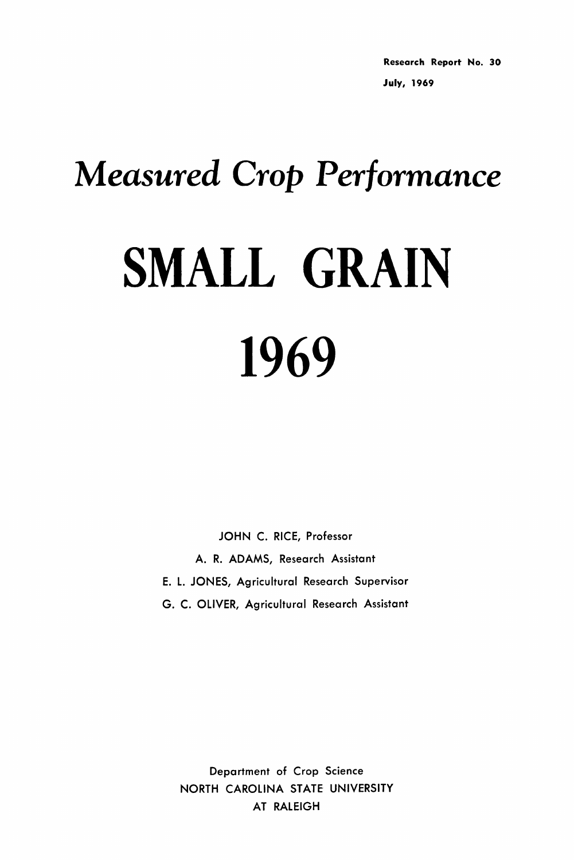Research Report No. 30 July, 1969

# *Measured Crop Performance* SMALL GRAIN 1969

JOHN C. RICE, Professor A. R. ADAMS, Research Assistant E. L. JONES, Agricultural Research Supervisor G. C. OLIVER, Agricultural Research Assistant

Department of Crop Science NORTH CAROLINA STATE UNIVERSITY AT RALEIGH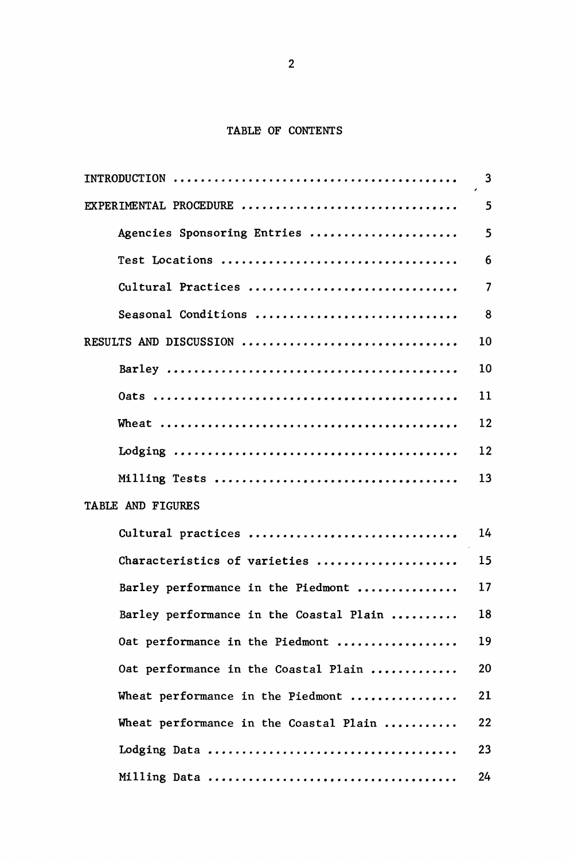# TABLE OF CONTENTS

| INTRODUCTION                            | 3                        |
|-----------------------------------------|--------------------------|
| EXPERIMENTAL PROCEDURE                  | 5                        |
| Agencies Sponsoring Entries             | 5                        |
| Test Locations                          | 6                        |
| Cultural Practices                      | $\overline{\phantom{a}}$ |
| Seasonal Conditions                     | 8                        |
| RESULTS AND DISCUSSION                  | 10                       |
|                                         | 10                       |
|                                         | 11                       |
|                                         | 12                       |
|                                         | 12                       |
|                                         | 13                       |
| TABLE AND FIGURES                       |                          |
| Cultural practices                      | 14                       |
| Characteristics of varieties            | 15                       |
| Barley performance in the Piedmont      | 17                       |
| Barley performance in the Coastal Plain | 18                       |
| Oat performance in the Piedmont         | 19                       |
| Oat performance in the Coastal Plain    | 20                       |
| Wheat performance in the Piedmont       | 21                       |
| Wheat performance in the Coastal Plain  | 22                       |
|                                         | 23                       |
|                                         | 24                       |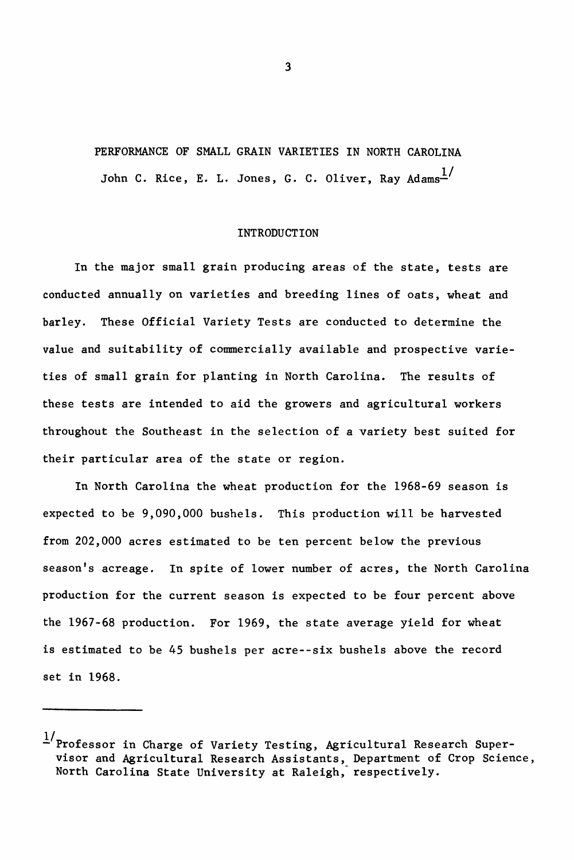# PERFORMANCE OF SMALL GRAIN VARIETIES IN NORTH CAROLINA John C. Rice, E. L. Jones, G. C. Oliver. Rav Adams $\frac{1}{2}$

#### INTRODUCTION

In the major small grain producing areas of the state, tests are conducted annually on varieties and breeding lines of oats, wheat and barley. These Official Variety Tests are conducted to determine the value and suitability of commercially available and prospective varieties of small grain for planting in North Carolina. The results of these tests are intended to aid the growers and agricultural workers throughout the Southeast in the selection of a variety best suited for their particular area of the state or region.

In North Carolina the wheat production for the 1968-69 season is expected to be 9,090,000 bushels. This production will be harvested from 202,000 acres estimated to be ten percent below the previous season's acreage. In spite of lower number of acres, the North Carolina production for the current season is expected to be four percent above the 1967-68 production. For 1969, the state average yield for wheat is estimated to be 45 bushels per acre--six bushels above the record set in 1968.

 $\frac{1}{2}$ Professor in Charge of Variety Testing, Agricultural Research Supervisor and Agricultural Research Assistants, Department of Crop Science, North Carolina State University at Raleigh, respectively.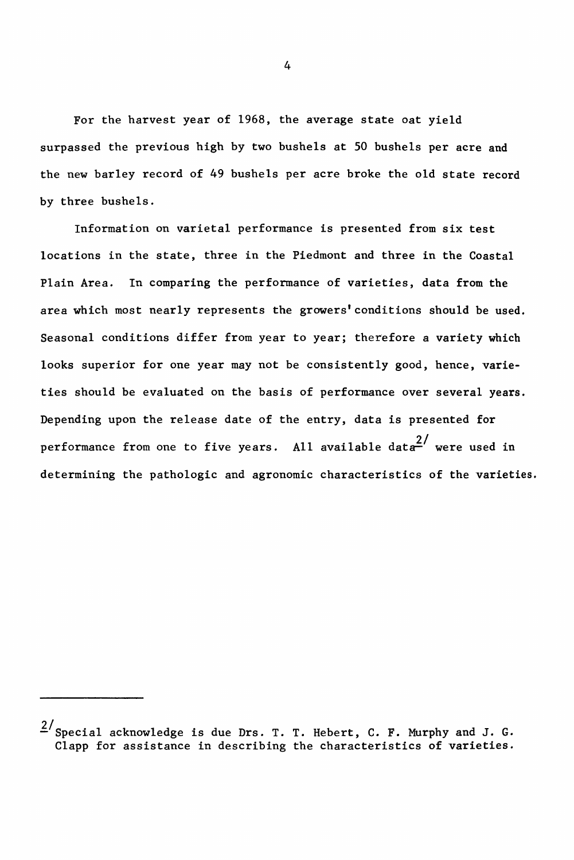For the harvest year of 1968, the average state oat yield surpassed the previous high by two bushels at 50 bushels per acre and the new barley record of 49 bushels per acre broke the old state record by three bushels.

Information on varietal performance is presented from six test locations in the state, three in the Piedmont and three in the Coastal Plain Area. In comparing the performance of varieties, data from the area which most nearly represents the growers'conditions should be used. Seasonal conditions differ from year to year; therefore a variety which looks superior for one year may not be consistently good, hence, varieties should be evaluated on the basis of performance over several years. Depending upon the release date of the entry, data is presented for performance from one to five years. All available data<sup>2/</sup> were used in determining the pathologic and agronomic characteristics of the varieties.

 $2/\text{Special}$  acknowledge is due Drs. T. T. Hebert, C. F. Murphy and J. G. Clapp for assistance in describing the characteristics of varieties.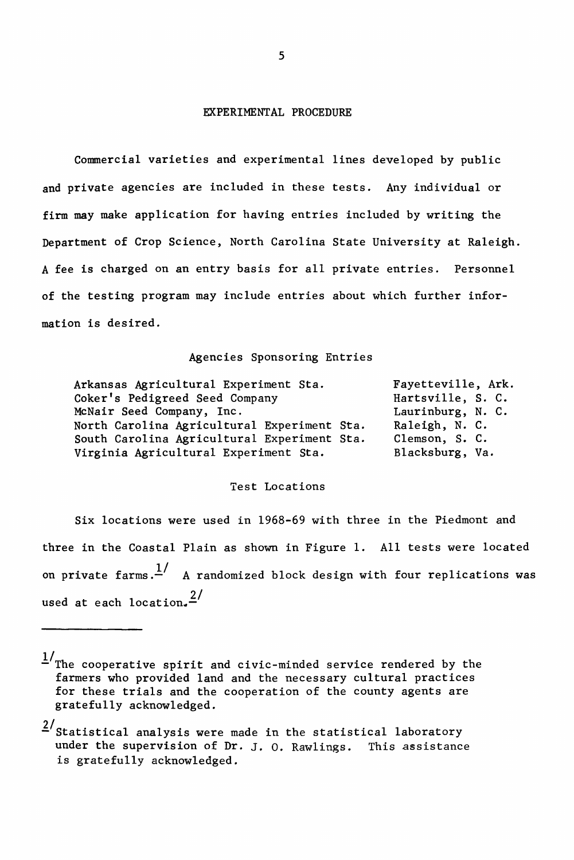#### EXPERIMENTAL PROCEDURE

Commercial varieties and experimental lines developed by public and private agencies are included in these tests. Any individual or firm may make application for having entries included by writing the Department of Crop Science, North Carolina State University at Raleigh. A fee is charged on an entry basis for all private entries. Personnel of the testing program may include entries about which further information is desired.

#### Agencies Sponsoring Entries

| Arkansas Agricultural Experiment Sta.       | Fayetteville, Ark. |
|---------------------------------------------|--------------------|
| Coker's Pedigreed Seed Company              | Hartsville, S. C.  |
| McNair Seed Company, Inc.                   | Laurinburg, N. C.  |
| North Carolina Agricultural Experiment Sta. | Raleigh, N. C.     |
| South Carolina Agricultural Experiment Sta. | Clemson, S. C.     |
| Virginia Agricultural Experiment Sta.       | Blacksburg, Va.    |

### Test Locations

Six locations were used in 1968-69 with three in the Piedmont and three in the Coastal Plain as shown in Figure 1. All tests were located on private farms.<sup>1</sup>/ A randomized block design with four replications was used at each location. $2/$ 

 $1/T$ he cooperative spirit and civic-minded service rendered by the farmers who provided land and the necessary cultural practices for these trials and the cooperation of the county agents are gratefully acknowledged.

 $\frac{2}{1}$ Statistical analysis were made in the statistical laboratory under the supervision of Dr. J. o. Rawlings. This assistance is gratefully acknowledged.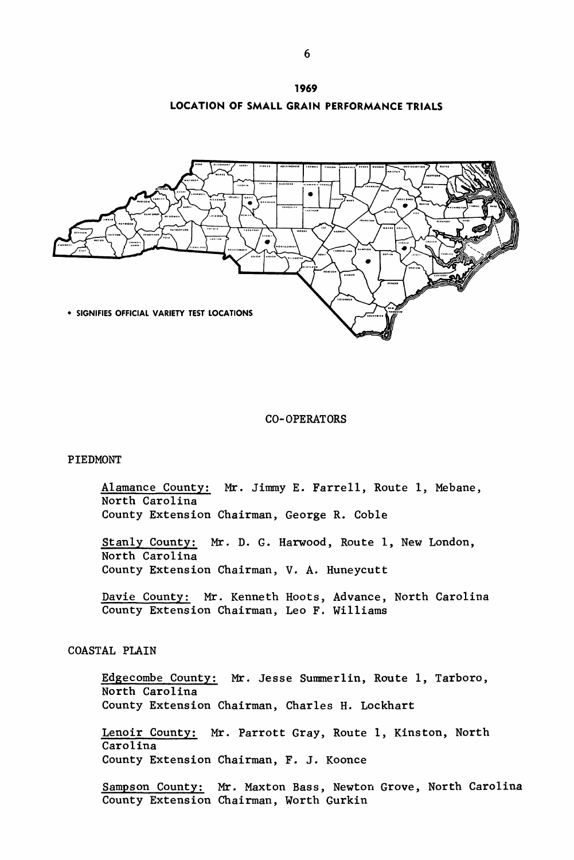



#### CO-OPERATORS

# PIEDMONT

Alamance County: Mr. Jimmy E. Farrell, Route 1, Mebane, North Carolina County Extension Chairman, George R. Coble

Stanly County: Mr. D. G. Harwood, Route 1, New London, North Carolina County Extension Chairman, V. A. Huneycutt

Davie County: Mr. Kenneth Hoots, Advance, North Carolina County Extension Chairman, Leo F. Williams

# COASTAL PLAIN

Edgecombe County: Mr. Jesse Summerlin, Route 1, Tarboro, North Carolina County Extension Chairman, Charles H. Lockhart

Lenoir County: Mr. Parrott Gray, Route 1, Kinston, North Carolina County Extension Chairman, F. J. Koonce

Sampson County: Mr. Maxton Bass, Newton Grove, North Carolina County Extension Chairman, Worth Gurkin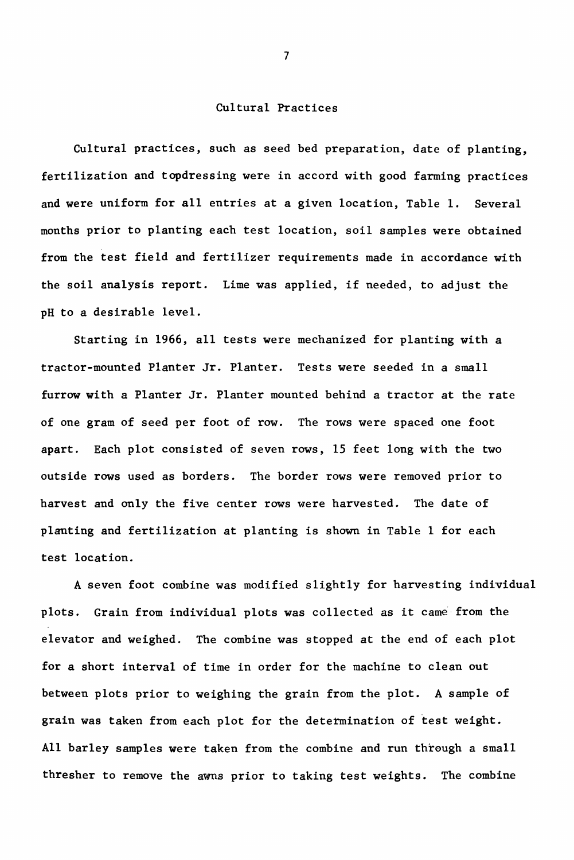# Cultural Practices

Cultural practices, such as seed bed preparation, date of planting, fertilization and topdressing were in accord with good farming practices and were uniform for all entries at a given location, Table 1. Several months prior to planting each test location, soil samples were obtained from the test field and fertilizer requirements made in accordance with the soil analysis report. Lime was applied, if needed, to adjust the pH to a desirable level.

Starting in 1966, all tests were mechanized for planting with a tractor-mounted Planter Jr. Planter. Tests were seeded in a small furrow with a Planter Jr. Planter mounted behind a tractor at the rate of one gram of seed per foot of row. The rows were spaced one foot apart. Each plot consisted of seven rows, 15 feet long with the two outside rows used as borders. The border rows were removed prior to harvest and only the five center rows were harvested. The date of planting and fertilization at planting is shown in Table 1 for each test location.

A seven foot combine was modified slightly for harvesting individual plots. Grain from individual plots was collected as it came from the elevator and weighed. The combine was stopped at the end of each plot for a short interval of time in order for the machine to clean out between plots prior to weighing the grain from the plot. A sample of grain was taken from each plot for the determination of test weight. All barley samples were taken from the combine and run through a small thresher to remove the awns prior to taking test weights. The combine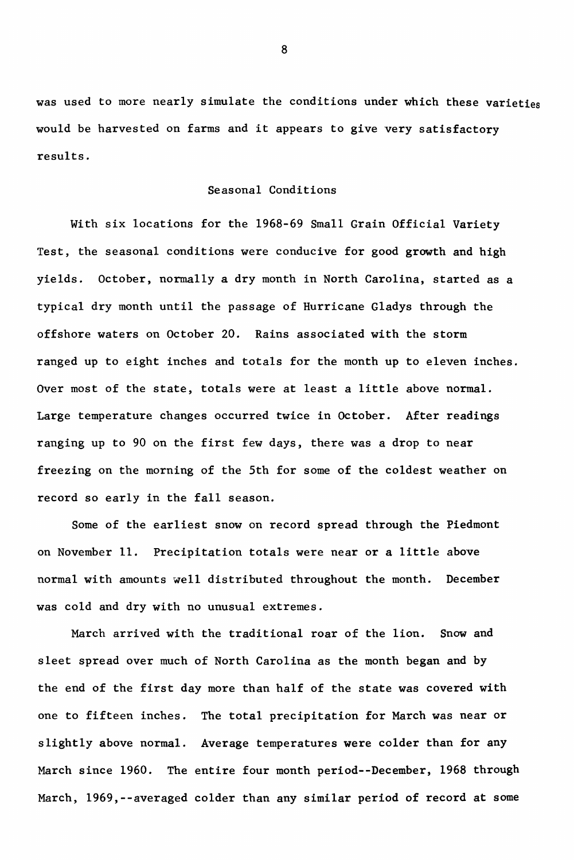was used to more nearly simulate the conditions under which these varieties would be harvested on farms and it appears to give very satisfactory results.

# Seasonal Conditions

With six locations for the 1968-69 Small Grain Official Variety Test, the seasonal conditions were conducive for good growth and high yields. October, normally a dry month in North Carolina, started as a typical dry month until the passage of Hurricane Gladys through the offshore waters on October 20. Rains associated with the storm ranged up to eight inches and totals for the month up to eleven inches. Over most of the state, totals were at least <sup>a</sup> little above normal. Large temperature changes occurred twice in October. After readings ranging up to 90 on the first few days, there was a drop to near freezing on the morning of the 5th for some of the coldest weather on record so early in the fall season.

Some of the earliest snow on record spread through the Piedmont on November 11. Precipitation totals were near or <sup>a</sup> little above normal with amounts well distributed throughout the month. December was cold and dry with no unusual extremes.

March arrived with the traditional roar of the lion. Snow and sleet spread over much of North Carolina as the month began and by the end of the first day more than half of the state was covered with one to fifteen inches. The total precipitation for March was near or slightly above normal. Average temperatures were colder than for any March since 1960. The entire four month period--December, 1968 through March, 1969,--averaged colder than any similar period of record at some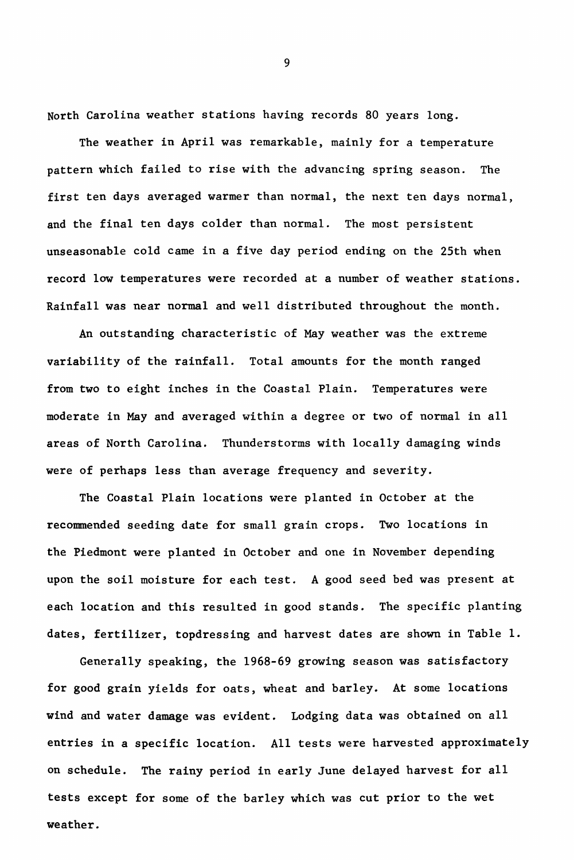North Carolina weather stations having records 80 years long.

The weather in April was remarkable, mainly for a temperature pattern which failed to rise with the advancing spring season. The first ten days averaged warmer than normal, the next ten days normal, and the final ten days colder than normal. The most persistent unseasonable cold came in a fi've day period ending on the 25th when record low temperatures were recorded at a number of weather stations. Rainfall was near normal and well distributed throughout the month.

An outstanding characteristic of May weather was the extreme variability of the rainfall. Total amounts for the month ranged from two to eight inches in the Coastal Plain. Temperatures were moderate in May and averaged within a degree or two of normal in all areas of North Carolina. Thunderstorms with locally damaging winds were of perhaps less than average frequency and severity.

The Coastal Plain locations were planted in October at the recommended seeding date for small grain crops. Two locations in the Piedmont were planted in October and one in November depending upon the soil moisture for each test. A good seed bed was present at each location and this resulted in good stands. The specific planting dates, fertilizer, topdressing and harvest dates are shown in Table 1.

Generally speaking, the 1968-69 growing season was satisfactory for good grain yields for oats, wheat and barley. At some locations wind and water damage was evident. Lodging data was obtained on all entries in a specific location. All tests were harvested approximately on schedule. The rainy period in early June delayed harvest for all tests except for some of the barley which was cut prior to the wet weather.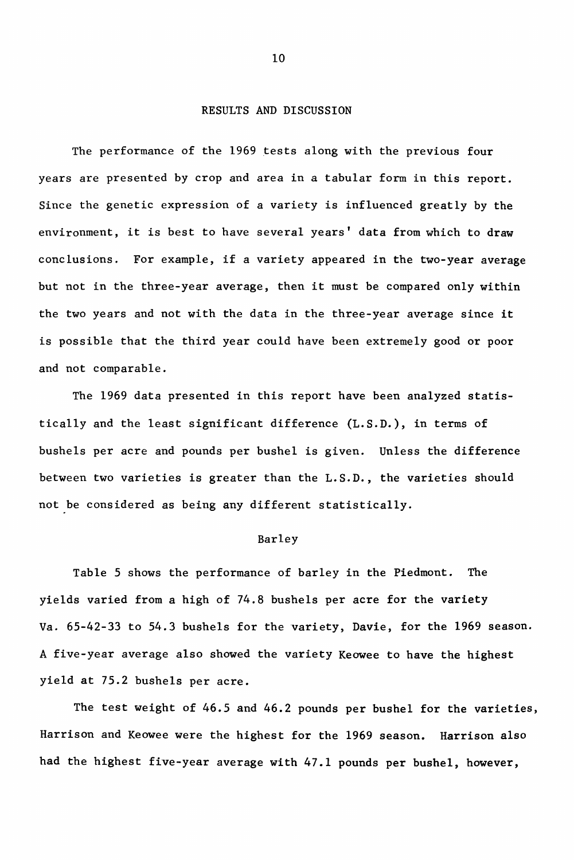# RESULTS AND DISCUSSION

The performance of the 1969 tests along with the previous four years are presented by crop and area in a tabular form in this report. Since the genetic expression of a variety is influenced greatly by the environment, it is best to have several years' data from which to draw conclusions. For example, if <sup>a</sup> variety appeared in the two-year average but not in the three-year average, then it must be compared only within the two years and not with the data in the three-year average since it is possible that the third year could have been extremely good or poor and not comparable.

The 1969 data presented in this report have been analyzed statistically and the least significant difference (L.S.D.), in terms of bushels per acre and pounds per bushel is given. Unless the difference between two varieties is greater than the L.S.D., the varieties should not be considered as being any different statistically.

#### Barley

Table 5 shows the performance of barley in the Piedmont. The yields varied from a high of 74.8 bushels per acre for the variety Va. 65-42-33 to 54.3 bushels for the variety, Davie, for the 1969 season. A five-year average also showed the variety Keowee to have the highest yield at 75.2 bushels per acre.

The test weight of 46.5 and 46.2 pounds per bushel for the varieties, Harrison and Keowee were the highest for the 1969 season. Harrison also had the highest five-year average with 47.1 pounds per bushel, however,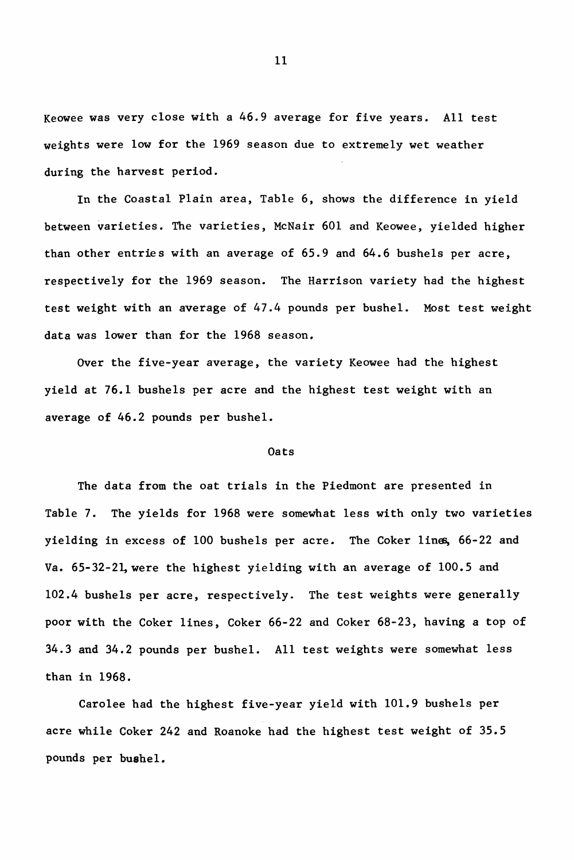Keowee was very close with a 46.9 average for five years. All test weights were low for the 1969 season due to extremely wet weather during the harvest period.

In the Coastal Plain area, Table 6, shows the difference in yield between varieties. The varieties, McNair 601 and Keowee, yielded higher than other entries with an average of 65.9 and 64.6 bushels per acre, respectively for the 1969 season. The Harrison variety had the highest test weight with an average of 47.4 pounds per bushel. Most test weight data was lower than for the 1968 season.

Over the five-year average, the variety Keowee had the highest yield at 76.1 bushels per acre and the highest test weight with an average of 46.2 pounds per bushel.

#### Oats

The data from the oat trials in the Piedmont are presented in Table 7. The yields for 1968 were somewhat less with only two varieties yielding in excess of 100 bushels per acre. The Coker lines, 66-22 and Va. 65-32-21, were the highest yielding with an average of 100.5 and 102.4 bushels per acre, respectively. The test weights were generally poor with the Coker lines, Coker 66-22 and Coker 68-23, having a top of 34.3 and 34.2 pounds per bushel. All test weights were somewhat less than in 1968.

Carolee had the highest five-year yield with 101.9 bushels per acre while Coker 242 and Roanoke had the highest test weight of 35.5 pounds per bushel.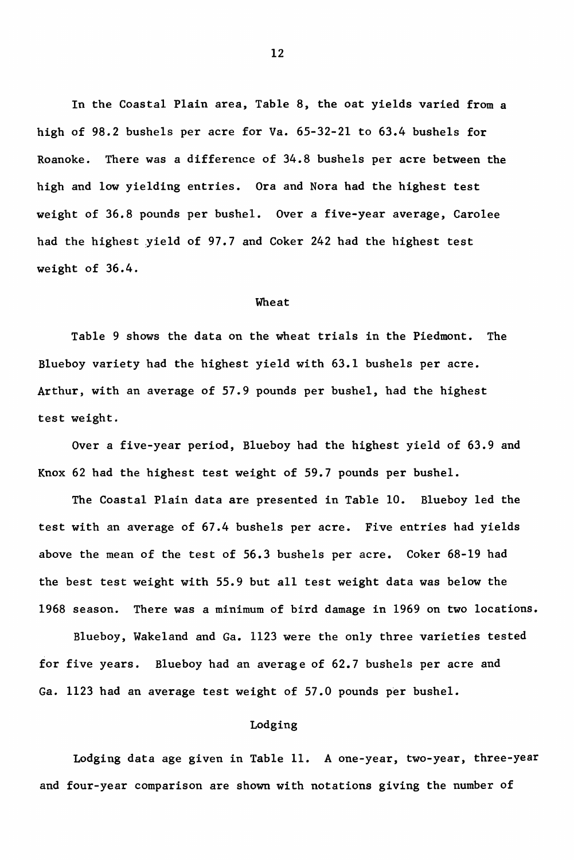In the Coastal Plain area, Table 8, the oat yields varied from a high of 98.2 bushels per acre for Va. 65-32-21 to 63.4 bushels for Roanoke. There was a difference of 34.8 bushels per acre between the high and low yielding entries. Ora and Nora had the highest test weight of 36.8 pounds per bushel. Over a five-year average, Carolee had the highest yield of 97.7 and Coker 242 had the highest test weight of 36.4.

#### Wheat

Table 9 shows the data on the wheat trials in the Piedmont. The Blueboy variety had the highest yield with 63.1 bushels per acre. Arthur, with an average of 57.9 pounds per bushel, had the highest test weight.

Over a five-year period, Blueboy had the highest yield of 63.9 and Knox 62 had the highest test weight of 59.7 pounds per bushel.

The Coastal Plain data are presented in Table 10. Blueboy led the test with an average of 67.4 bushels per acre. Five entries had yields above the mean of the test of 56.3 bushels per acre. Coker 68-19 had the best test weight with 55.9 but all test weight data was below the 1968 season. There was a minimum of bird damage in 1969 on two locations.

Blueboy, Wakeland and Ga. 1123 were the only three varieties tested for five years. B1ueboy had an average of 62.7 bushels per acre and Ga. 1123 had an average test weight of 57.0 pounds per bushel.

# Lodging

Lodging data age given in Table 11. A one-year, two-year, three-year and four-year comparison are shown with notations giving the number of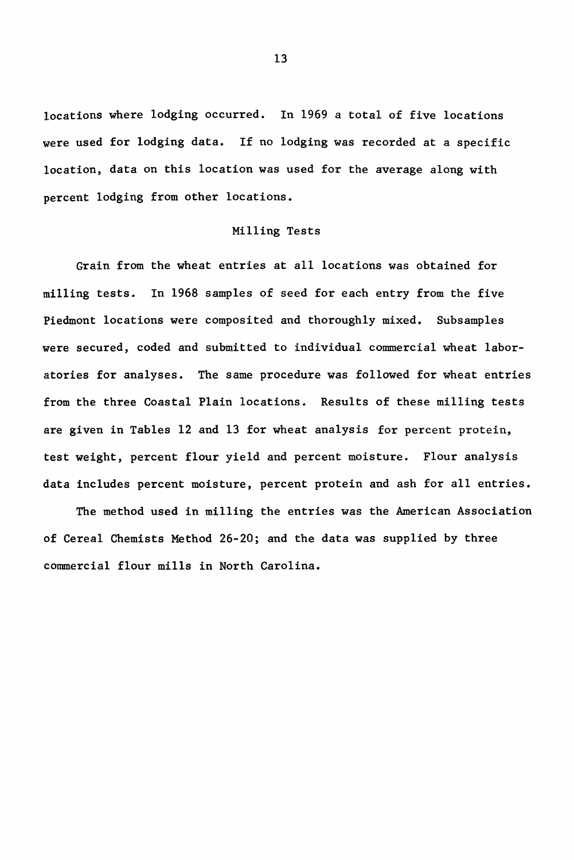locations where lodging occurred. In 1969 a total of five locations were used for lodging data. If no lodging was recorded at a specific location, data on this location was used for the average along with percent lodging from other locations.

# Milling Tests

Grain from the wheat entries at all locations was obtained for milling tests. In 1968 samples of seed for each entry from the fi've Piedmont locations were composited and thoroughly mixed. Subsamples were secured, coded and submitted to individual commercial wheat laboratories for analyses. The same procedure was followed for wheat entries from the three Coastal Plain locations. Results of these milling tests are given in Tables 12 and 13 for wheat analysis for percent protein, test weight, percent flour yield and percent moisture. Flour analysis data includes percent moisture, percent protein and ash for all entries.

The method used in milling the entries was the American Association of Cereal Chemists Method 26-20; and the data was supplied by three commercial flour mills in North Carolina.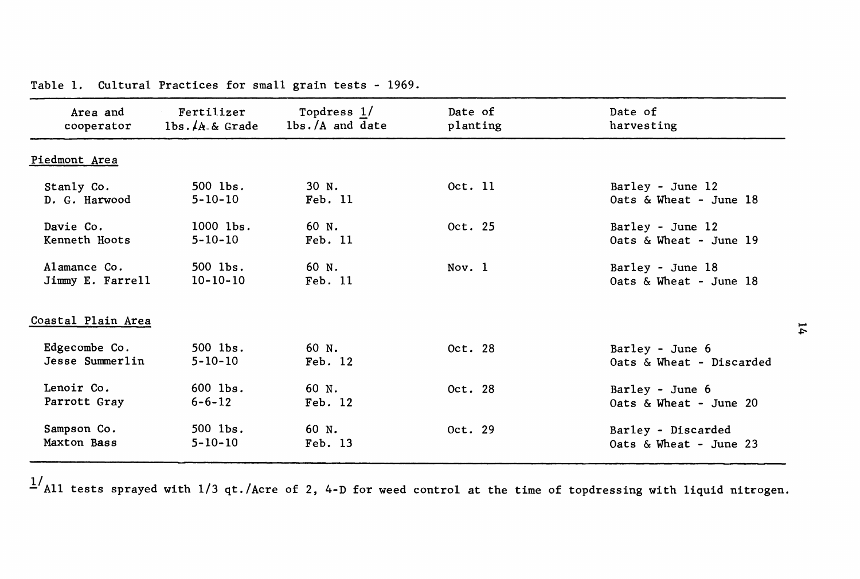| Area and           | Fertilizer       | Topdress 1/       | Date of  | Date of                   |
|--------------------|------------------|-------------------|----------|---------------------------|
| cooperator         | $1bs.A.A.$ Grade | $lbs./A$ and date | planting | harvesting                |
| Piedmont Area      |                  |                   |          |                           |
| Stanly Co.         | $500$ $1bs$ .    | 30 N.             | Oct. 11  | Barley - June 12          |
| D. G. Harwood      | $5 - 10 - 10$    | Feb. 11           |          | Oats $\&$ Wheat - June 18 |
| Davie Co.          | $1000$ $1bs$ .   | 60 N.             | Oct. 25  | Barley - June 12          |
| Kenneth Hoots      | $5 - 10 - 10$    | Feb. 11           |          | Oats & Wheat - June 19    |
| Alamance Co.       | $500$ lbs.       | 60 N.             | Nov. 1   | Barley - June 18          |
| Jimmy E. Farrell   | $10 - 10 - 10$   | Feb. 11           |          | Oats & Wheat - June 18    |
| Coastal Plain Area |                  |                   |          |                           |
| Edgecombe Co.      | $500$ $1bs$ .    | 60 N.             | Oct. 28  | Barley - June 6           |
| Jesse Summerlin    | $5 - 10 - 10$    | Feb. 12           |          | Oats & Wheat - Discarded  |
| Lenoir Co.         | $600$ lbs.       | 60 N.             | Oct. 28  | Barley - June 6           |
| Parrott Gray       | $6 - 6 - 12$     | Feb. 12           |          | Oats $\&$ Wheat - June 20 |
| Sampson Co.        | $500$ $1bs$ .    | 60 N.             | Oct. 29  | Barley - Discarded        |
| Maxton Bass        | $5 - 10 - 10$    | Feb. 13           |          | Oats & Wheat - June 23    |

Table 1. Cultural Practices for small grain tests - 1969.

 $1/$ All tests sprayed with 1/3 qt./Acre of 2, 4-D for weed control at the time of topdressing with liquid nitrogen.

 $\mathbf{r}$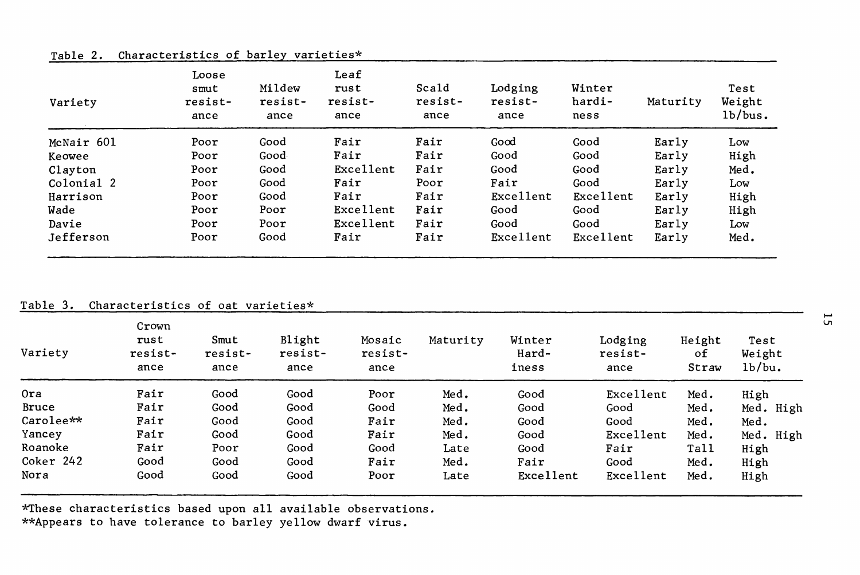|  |  |  | Table 2. Characteristics of barley varieties* |
|--|--|--|-----------------------------------------------|
|  |  |  |                                               |

| Variety    | Loose<br>smut<br>resist-<br>ance | Mildew<br>resist-<br>ance | Leaf<br>rust<br>resist-<br>ance | Scald<br>resist-<br>ance | Lodging<br>resist-<br>ance | Winter<br>hardi-<br>ness | Maturity | Test<br>Weight<br>1b/bus. |
|------------|----------------------------------|---------------------------|---------------------------------|--------------------------|----------------------------|--------------------------|----------|---------------------------|
| McNair 601 | Poor                             | Good                      | Fair                            | Fair                     | Good                       | Good                     | Early    | Low                       |
| Keowee     | Poor                             | Good                      | Fair                            | Fair                     | Good                       | Good                     | Early    | High                      |
| Clayton    | Poor                             | Good                      | Excellent                       | Fair                     | Good                       | Good                     | Early    | Med.                      |
| Colonial 2 | Poor                             | Good                      | Fair                            | Poor                     | Fair                       | Good                     | Early    | Low                       |
| Harrison   | Poor                             | Good                      | Fair                            | Fair                     | Excellent                  | Excellent                | Early    | High                      |
| Wade       | Poor                             | Poor                      | Excellent                       | Fair                     | Good                       | Good                     | Early    | High                      |
| Davie      | Poor                             | Poor                      | Excellent                       | Fair                     | Good                       | Good                     | Early    | Low                       |
| Jefferson  | Poor                             | Good                      | Fair                            | Fair                     | Excellent                  | Excellent                | Early    | Med.                      |

# Table 3. Characteristics of oat varieties\*

| Variety   | Crown<br>rust<br>resist-<br>ance | Smut<br>resist-<br>ance | Blight<br>resist-<br>ance | Mosaic<br>resist-<br>ance | Maturity | Winter<br>Hard-<br>iness | Lodging<br>resist-<br>ance | Height<br>οf<br>Straw | Test<br>Weight<br>1b/bu. |
|-----------|----------------------------------|-------------------------|---------------------------|---------------------------|----------|--------------------------|----------------------------|-----------------------|--------------------------|
| 0ra       | Fair                             | Good                    | Good                      | Poor                      | Med.     | Good                     | Excellent                  | Med.                  | High                     |
| Bruce     | Fair                             | Good                    | Good                      | Good                      | Med.     | Good                     | Good                       | Med.                  | Med. High                |
| Carolee** | Fair                             | Good                    | Good                      | Fair                      | Med.     | Good                     | Good                       | Med.                  | Med.                     |
| Yancey    | Fair                             | Good                    | Good                      | Fair                      | Med.     | Good                     | Excellent                  | Med.                  | Med. High                |
| Roanoke   | Fair                             | Poor                    | Good                      | Good                      | Late     | Good                     | Fair                       | Tall                  | High                     |
| Coker 242 | Good                             | Good                    | Good                      | Fair                      | Med.     | Fair                     | Good                       | Med.                  | High                     |
| Nora      | Good                             | Good                    | Good                      | Poor                      | Late     | Excellent                | Excellent                  | Med.                  | High                     |

\*These characteristics based upon all available observations. \*\*Appears to have tolerance to barley yellow dwarf virus.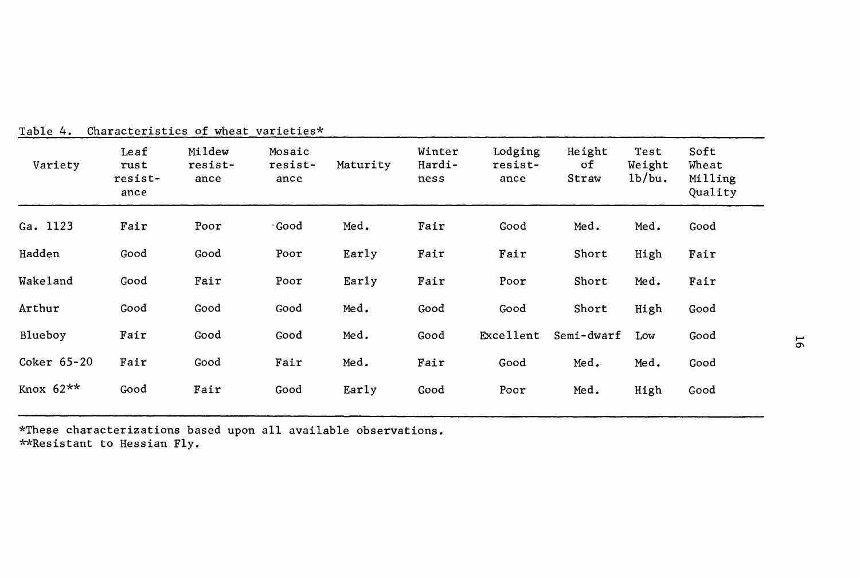| Variety     | Leaf<br>rust<br>resist-<br>ance | Mildew<br>resist-<br>ance | Mosaic<br>resist-<br>ance | Maturity | Winter<br>Hardi-<br>ness | Lodging<br>resist-<br>ance | Height<br>оf<br>Straw | Test<br>Weight<br>1b/bu. | Soft<br>Wheat<br>Milling<br>Quality |                |
|-------------|---------------------------------|---------------------------|---------------------------|----------|--------------------------|----------------------------|-----------------------|--------------------------|-------------------------------------|----------------|
| Ga. 1123    | Fair                            | Poor                      | ∙Good                     | Med.     | Fair                     | Good                       | Med.                  | Med.                     | Good                                |                |
| Hadden      | Good                            | Good                      | Poor                      | Early    | Fair                     | Fair                       | Short                 | High                     | Fair                                |                |
| Wakeland    | Good                            | Fair                      | Poor                      | Early    | Fair                     | Poor                       | Short                 | Med.                     | Fair                                |                |
| Arthur      | Good                            | Good                      | Good                      | Med.     | Good                     | Good                       | Short                 | High                     | Good                                |                |
| Blueboy     | Fair                            | Good                      | Good                      | Med.     | Good                     | Excellent                  | Semi-dwarf            | Low                      | Good                                | $\overline{5}$ |
| Coker 65-20 | Fair                            | Good                      | Fair                      | Med.     | Fair                     | Good                       | Med.                  | Med.                     | Good                                |                |
| Knox $62**$ | Good                            | Fair                      | Good                      | Early    | Good                     | Poor                       | Med.                  | High                     | Good                                |                |

Table 4. Characteristics of wheat varieties\*

\*These characterizations based upon all available observations. \*\*Resistant to Hessian Fly.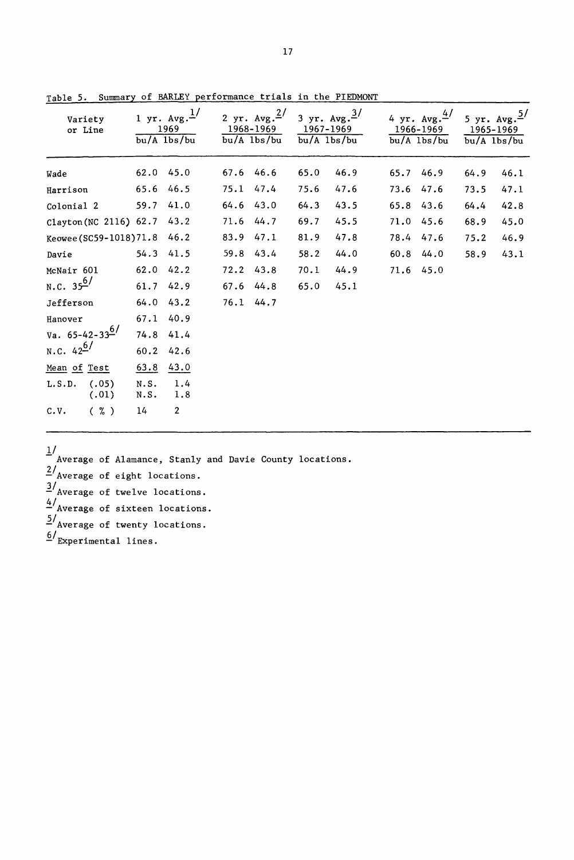| Variety<br>or Line           |              | 1 yr. $Avg.$ <sup>1/</sup><br>1969<br>$bu/A$ $1bs/bu$ |               | 2 yr. $Avg.^{2/}$<br>1968-1969<br>bu/A 1bs/bu | 3 yr. $Avg. \frac{3}{ }$<br>1967-1969 | bu/A lbs/bu |           | 4 yr. Avg. $\frac{4}{3}$<br>1966–1969<br>$bu/A$ $1bs/bu$ | 5 yr. $Avg.^5/$<br>1965-1969<br>$bu/A$ lbs/bu |      |
|------------------------------|--------------|-------------------------------------------------------|---------------|-----------------------------------------------|---------------------------------------|-------------|-----------|----------------------------------------------------------|-----------------------------------------------|------|
| Wade                         | 62.0 45.0    |                                                       | 67.6 46.6     |                                               | 65.0                                  | 46.9        | 65.7 46.9 |                                                          | 64.9                                          | 46.1 |
| Harrison                     | 65.6 46.5    |                                                       | 75.1 47.4     |                                               | 75.6                                  | 47.6        | 73.6 47.6 |                                                          | 73.5                                          | 47.1 |
| Colonial 2                   | 59.7 41.0    |                                                       | $64.6$ 43.0   |                                               | 64.3                                  | 43.5        | 65.8 43.6 |                                                          | 64.4                                          | 42.8 |
| Clayton (NC 2116) 62.7 43.2  |              |                                                       |               | 71.6 44.7                                     | 69.7                                  | 45.5        | 71.0 45.6 |                                                          | 68.9                                          | 45.0 |
| Keowee (SC59-1018) 71.8 46.2 |              |                                                       | 83.9 47.1     |                                               | 81.9                                  | 47.8        | 78.4 47.6 |                                                          | 75.2                                          | 46.9 |
| Davie                        | 54.3 41.5    |                                                       | 59.8 43.4     |                                               | 58.2                                  | 44.0        | 60.8 44.0 |                                                          | 58.9                                          | 43.1 |
| McNair 601                   | 62.0 42.2    |                                                       | 72.2          | 43.8                                          | 70.1                                  | 44.9        | 71.6 45.0 |                                                          |                                               |      |
| N.C. $35^{6/}$               | 61.7 42.9    |                                                       | $67.6$ $44.8$ |                                               | 65.0                                  | 45.1        |           |                                                          |                                               |      |
| Jefferson                    | 64.0 43.2    |                                                       | 76.1 44.7     |                                               |                                       |             |           |                                                          |                                               |      |
| Hanover                      | 67.1 40.9    |                                                       |               |                                               |                                       |             |           |                                                          |                                               |      |
| Va. $65-42-33^{6/}$          | 74.8 41.4    |                                                       |               |                                               |                                       |             |           |                                                          |                                               |      |
| N.C. $42^{6/7}$              | 60.2         | 42.6                                                  |               |                                               |                                       |             |           |                                                          |                                               |      |
| Mean of Test                 | 63.8         | 43.0                                                  |               |                                               |                                       |             |           |                                                          |                                               |      |
| (.05)<br>L.S.D.<br>(.01)     | N.S.<br>N.S. | 1.4<br>1.8                                            |               |                                               |                                       |             |           |                                                          |                                               |      |
| ( %)<br>c.v.                 | 14           | $\overline{2}$                                        |               |                                               |                                       |             |           |                                                          |                                               |      |

Table 5. Summary of BARLEY performance trials in the PIEDMONT

*II* - Average of Alamance, Stanly and Davie County locations.  $^{\underline{2}\prime}$  Average of eight locations. *llAverage* of twelve locations.  $4/$ Average of sixteen locations. *ilAverage* of twenty locations.

 $\frac{6}{ }$ Experimental lines.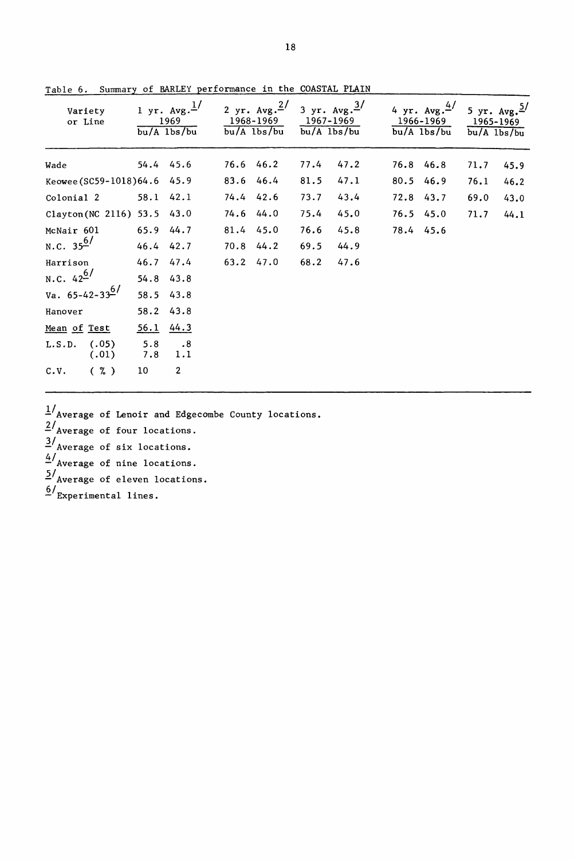| Variety<br>or Line          |               | 1 yr. $Avg.$ <sup>1</sup> /<br>1969<br>$bu/A$ $1bs/bu$ | 1968-1969 | 2 yr. $Avg.^2/$<br>$bu/A$ $1bs/bu$ | 3 yr. $Avg.^3/$<br>1967–1969<br>$bu/A$ $1bs/bu$ |      |             | 4 yr. $Avg. \frac{4}{7}$<br>1966-1969<br>$bu/A$ 1bs/bu | 5 yr. $Avg. \frac{5}{3}$<br>1965–1969<br>$bu/A$ $1bs/bu$ |      |
|-----------------------------|---------------|--------------------------------------------------------|-----------|------------------------------------|-------------------------------------------------|------|-------------|--------------------------------------------------------|----------------------------------------------------------|------|
| Wade                        | 54.4 45.6     |                                                        | 76.6 46.2 |                                    | 77.4                                            | 47.2 | 76.8 46.8   |                                                        | 71.7                                                     | 45.9 |
| Keowee (SC59-1018)64.6 45.9 |               |                                                        | 83.6 46.4 |                                    | 81.5                                            | 47.1 | 80.5        | 46.9                                                   | 76.1                                                     | 46.2 |
| Colonial 2                  | 58.1 42.1     |                                                        | 74.4 42.6 |                                    | 73.7                                            | 43.4 | 72.8        | 43.7                                                   | 69.0                                                     | 43.0 |
| Clayton(NC 2116) 53.5 43.0  |               |                                                        | 74.6 44.0 |                                    | 75.4                                            | 45.0 | $76.5$ 45.0 |                                                        | 71.7                                                     | 44.1 |
| McNair 601                  | 65.9 44.7     |                                                        | 81.4 45.0 |                                    | 76.6                                            | 45.8 | 78.4 45.6   |                                                        |                                                          |      |
| N.C. $35^{6/}$              | 46.4 42.7     |                                                        | 70.8 44.2 |                                    | 69.5                                            | 44.9 |             |                                                        |                                                          |      |
| Harrison                    | 46.7 47.4     |                                                        | 63.2 47.0 |                                    | 68.2                                            | 47.6 |             |                                                        |                                                          |      |
| N.C. $42^{6/7}$             | 54.8 43.8     |                                                        |           |                                    |                                                 |      |             |                                                        |                                                          |      |
| Va. 65-42-33 <sup>6/</sup>  | 58.5 43.8     |                                                        |           |                                    |                                                 |      |             |                                                        |                                                          |      |
| Hanover                     | 58.2 43.8     |                                                        |           |                                    |                                                 |      |             |                                                        |                                                          |      |
| Mean of Test                | $56.1$ $44.3$ |                                                        |           |                                    |                                                 |      |             |                                                        |                                                          |      |
| (.05)<br>L.S.D.<br>(.01)    | 5.8<br>7.8    | $\overline{\phantom{0}}$ .8<br>1.1                     |           |                                    |                                                 |      |             |                                                        |                                                          |      |
| $(\% )$<br>C.V.             | 10            | $\overline{2}$                                         |           |                                    |                                                 |      |             |                                                        |                                                          |      |

Table 6. Summary of BARLEY performance in the COASTAL PLAIN

 $1/\sqrt{2}$  Average of Lenoir and Edgecombe County locations.  $\frac{2}{\pi}$ Average of four locations.  $\frac{3}{4}$  Average of six locations.  $\frac{4}{x}$  Average of nine locations.  $\frac{5}{4}$  Average of eleven locations.  $^{6/}$ Experimental lines.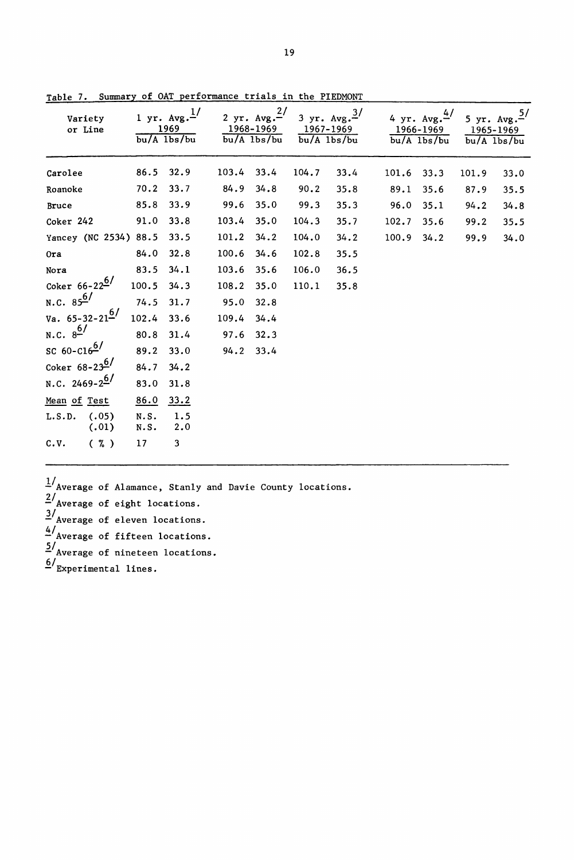| Variety<br>or Line                   |              | 1 yr. $Avg.$ <sup>1/</sup><br>1969<br>$\overline{bu/A}$ 1bs/bu |       | 2 yr. $Avg.^2/$<br>1968–1969<br>$bu/A$ $1bs/bu$ | 1967–1969 | 3 yr. $Avg. \frac{3}{ }$<br>$bu/A$ $1bs/bu$ |       | 4 yr. $Avg. \frac{4}{7}$<br>1966-1969<br>$bu/A$ $1bs/bu$ |       | 5 yr. $Avg. \frac{5}{5}$<br>1965-1969<br>$bu/A$ $1bs/bu$ |
|--------------------------------------|--------------|----------------------------------------------------------------|-------|-------------------------------------------------|-----------|---------------------------------------------|-------|----------------------------------------------------------|-------|----------------------------------------------------------|
| Carolee                              | 86.5         | 32.9                                                           | 103.4 | 33.4                                            | 104.7     | 33.4                                        | 101.6 | 33.3                                                     | 101.9 | 33.0                                                     |
| Roanoke                              | 70.2         | 33.7                                                           | 84.9  | 34.8                                            | 90.2      | 35.8                                        | 89.1  | 35.6                                                     | 87.9  | 35.5                                                     |
| Bruce                                | 85.8         | 33.9                                                           | 99.6  | 35.0                                            | 99.3      | 35.3                                        | 96.0  | 35.1                                                     | 94.2  | 34.8                                                     |
| Coker 242                            | 91.0         | 33.8                                                           | 103.4 | 35.0                                            | 104.3     | 35.7                                        | 102.7 | 35.6                                                     | 99.2  | 35.5                                                     |
| Yancey (NC 2534) 88.5                |              | 33.5                                                           | 101.2 | 34.2                                            | 104.0     | 34.2                                        | 100.9 | 34.2                                                     | 99.9  | 34.0                                                     |
| Ora                                  | 84.0         | 32.8                                                           | 100.6 | 34.6                                            | 102.8     | 35.5                                        |       |                                                          |       |                                                          |
| Nora                                 | 83.5         | 34.1                                                           | 103.6 | 35.6                                            | 106.0     | 36.5                                        |       |                                                          |       |                                                          |
| Coker $66 - 22^{6/2}$                | 100.5        | 34.3                                                           | 108.2 | 35.0                                            | 110.1     | 35.8                                        |       |                                                          |       |                                                          |
| N.C. $85^{6/}$                       | $74.5$ 31.7  |                                                                | 95.0  | 32.8                                            |           |                                             |       |                                                          |       |                                                          |
| Va. $65 - 32 - 21^6$                 | 102.4        | 33.6                                                           | 109.4 | 34.4                                            |           |                                             |       |                                                          |       |                                                          |
| N.C. $8^{6/}$                        | 80.8         | 31.4                                                           | 97.6  | 32.3                                            |           |                                             |       |                                                          |       |                                                          |
| $\frac{6}{100}$ 60-C16 <sup>6/</sup> | 89.2         | 33.0                                                           | 94.2  | 33.4                                            |           |                                             |       |                                                          |       |                                                          |
| Coker $68 - 23^{6}$                  | 84.7         | 34.2                                                           |       |                                                 |           |                                             |       |                                                          |       |                                                          |
| N.C. 2469-2 <sup>6/</sup>            | 83.0         | 31.8                                                           |       |                                                 |           |                                             |       |                                                          |       |                                                          |
| Mean of Test                         | 86.0         | 33.2                                                           |       |                                                 |           |                                             |       |                                                          |       |                                                          |
| (.05)<br>L.S.D.<br>(.01)             | N.S.<br>N.S. | 1.5<br>2.0                                                     |       |                                                 |           |                                             |       |                                                          |       |                                                          |
| $(\% )$<br>C.V.                      | 17           | 3                                                              |       |                                                 |           |                                             |       |                                                          |       |                                                          |

Table 7. Summary of OAT performance trials in the PIEDMONT

 $\frac{1}{4}$ /Average of Alamance, Stanly and Davie County locations.  $2/$ Average of eight locations.  $\frac{3}{4}$  Average of eleven locations. ~/Average of fifteen locations.  $5/$  Average of nineteen locations.  $\frac{6}{x}$ Experimental lines.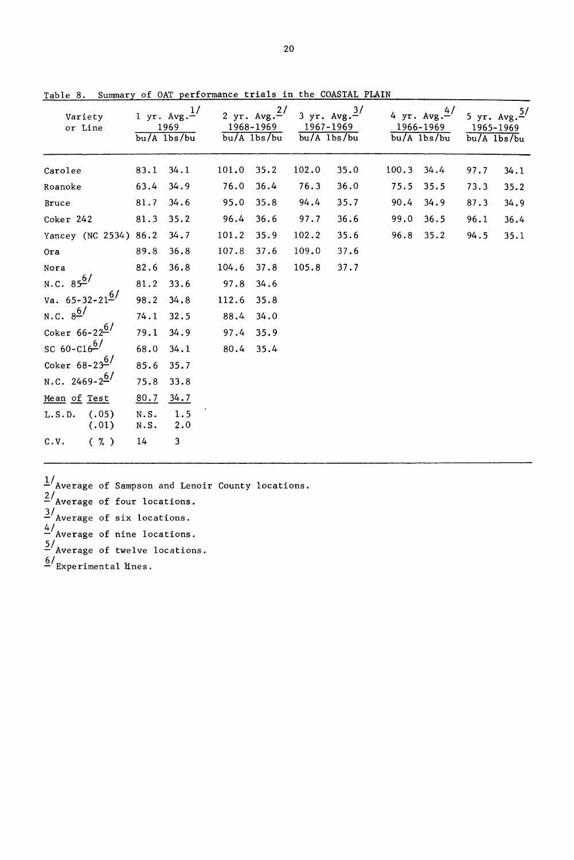| Variety<br>or Line                 |              | 1 yr. $Avg.\frac{1}{ }$<br>1969<br>$bu/A$ $1bs/bu$ |       | 2 yr. Avg. $\frac{2}{ }$<br>1968-1969<br>$bu/A$ $1bs/bu$ |       | 3 yr. $Avg.^3/$<br>1967-1969<br>$bu/A$ $1bs/bu$ |       | 4 yr. $Avg.4$<br>1966-1969<br>$bu/A$ $1bs/bu$ | 1965-1969<br>$bu/A$ lbs/bu | 5 yr. $Avg. \frac{5}{ }$ |
|------------------------------------|--------------|----------------------------------------------------|-------|----------------------------------------------------------|-------|-------------------------------------------------|-------|-----------------------------------------------|----------------------------|--------------------------|
| Carolee                            | 83.1         | 34.1                                               | 101.0 | 35.2                                                     | 102.0 | 35.0                                            | 100.3 | 34.4                                          | 97.7                       | 34.1                     |
| Roanoke                            | 63.4         | 34.9                                               | 76.0  | 36.4                                                     | 76.3  | 36.0                                            | 75.5  | 35.5                                          | 73.3                       | 35.2                     |
| Bruce                              | 81.7         | 34.6                                               | 95.0  | 35.8                                                     | 94.4  | 35.7                                            | 90.4  | 34.9                                          | 87.3                       | 34.9                     |
| Coker 242                          | 81.3         | 35.2                                               | 96.4  | 36.6                                                     | 97.7  | 36.6                                            | 99.0  | 36.5                                          | 96.1                       | 36.4                     |
| Yancey (NC 2534) 86.2              |              | 34.7                                               | 101.2 | 35.9                                                     | 102.2 | 35.6                                            | 96.8  | 35.2                                          | 94.5                       | 35.1                     |
| Ora                                | 89.8         | 36.8                                               | 107.8 | 37.6                                                     | 109.0 | 37.6                                            |       |                                               |                            |                          |
| Nora                               | 82.6         | 36.8                                               | 104.6 | 37.8                                                     | 105.8 | 37.7                                            |       |                                               |                            |                          |
| N.C. $85^{6/}$                     | 81.2         | 33.6                                               | 97.8  | 34.6                                                     |       |                                                 |       |                                               |                            |                          |
| Va. $65 - 32 - 21^{\underline{6}}$ | 98.2         | 34.8                                               | 112.6 | 35.8                                                     |       |                                                 |       |                                               |                            |                          |
| N.C. $8^{\frac{6}{}}$              | 74.1         | 32.5                                               | 88.4  | 34.0                                                     |       |                                                 |       |                                               |                            |                          |
| Coker $66 - 22^6$                  | 79.1         | 34.9                                               | 97.4  | 35.9                                                     |       |                                                 |       |                                               |                            |                          |
| $SC 60-C16^{6/2}$                  | 68.0         | 34.1                                               | 80.4  | 35.4                                                     |       |                                                 |       |                                               |                            |                          |
| Coker $68 - 23^{6/}$               | 85.6         | 35.7                                               |       |                                                          |       |                                                 |       |                                               |                            |                          |
| N.C. 2469-2 <sup>6/</sup>          | 75.8         | 33.8                                               |       |                                                          |       |                                                 |       |                                               |                            |                          |
| Mean of Test                       | 80.7         | 34.7                                               |       |                                                          |       |                                                 |       |                                               |                            |                          |
| (.05)<br>L.S.D.<br>(.01)           | N.S.<br>N.S. | 1.5<br>2.0                                         |       |                                                          |       |                                                 |       |                                               |                            |                          |
| $(\% )$<br>C.V.                    | 14           | 3                                                  |       |                                                          |       |                                                 |       |                                               |                            |                          |

Table 8. Summary of OAT performance trials in the COASTAL PLAIN

 $1/\sqrt{2}$  Average of Sampson and Lenoir County locations.  $2/$ Average of four locations.  $\frac{3}{4}$  Average of six locations. 4/<br>Average of nine locations. 5/<br>- Average of twelve locations. *&.1*Experimental lines.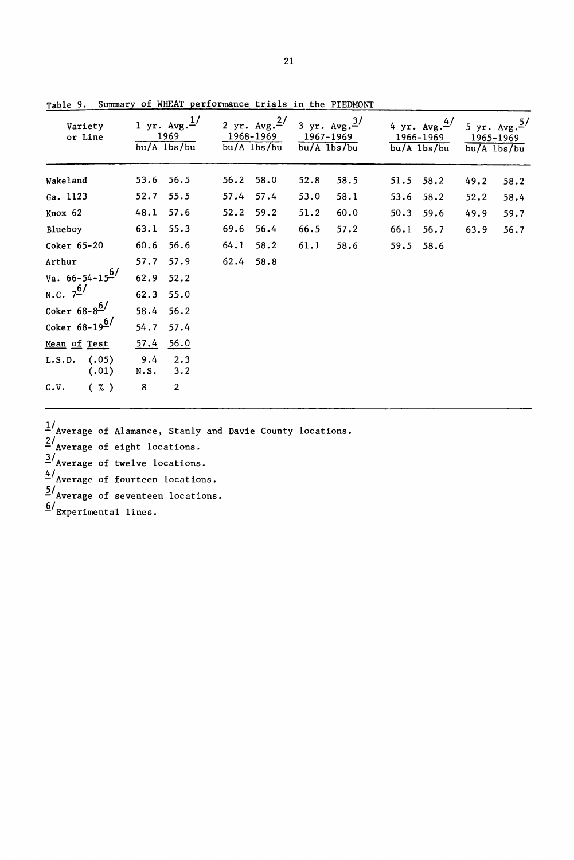| Variety<br>or Line         | $bu/A$ $1bs/bu$ | 1 yr. $Avg.\frac{1}{ }$<br>1969 | 2 yr. $Avg.^{2/}$<br>1968-1969<br>$bu/A$ $1bs/bu$ |      | 3 yr. $Avg.^{3/}$<br>1967-1969<br>$bu/A$ $1bs/bu$ |      | 4 yr. $Avg.\frac{4}{ }$<br>1966-1969<br>$bu/A$ $1bs/bu$ |      | 5 yr. $Avg. \frac{5}{7}$<br>1965-1969<br>$bu/A$ $1bs/bu$ |      |
|----------------------------|-----------------|---------------------------------|---------------------------------------------------|------|---------------------------------------------------|------|---------------------------------------------------------|------|----------------------------------------------------------|------|
| Wakeland                   | 53.6            | 56.5                            | 56.2                                              | 58.0 | 52.8                                              | 58.5 | 51.5                                                    | 58.2 | 49.2                                                     | 58.2 |
| Ga. 1123                   | 52.7            | 55.5                            | 57.4                                              | 57.4 | 53.0                                              | 58.1 | 53.6                                                    | 58.2 | 52.2                                                     | 58.4 |
| Knox 62                    | 48.1            | 57.6                            | 52.2                                              | 59.2 | 51.2                                              | 60.0 | 50.3                                                    | 59.6 | 49.9                                                     | 59.7 |
| Blueboy                    | 63.1            | 55.3                            | 69.6                                              | 56.4 | 66.5                                              | 57.2 | 66.1                                                    | 56.7 | 63.9                                                     | 56.7 |
| Coker 65-20                | 60.6            | 56.6                            | 64.1                                              | 58.2 | 61.1                                              | 58.6 | 59.5                                                    | 58.6 |                                                          |      |
| Arthur                     | 57.7            | 57.9                            | 62.4                                              | 58.8 |                                                   |      |                                                         |      |                                                          |      |
| Va. 66-54-15 <sup>6/</sup> | 62.9            | 52.2                            |                                                   |      |                                                   |      |                                                         |      |                                                          |      |
| N.C. $7^{6/7}$             | 62.3            | 55.0                            |                                                   |      |                                                   |      |                                                         |      |                                                          |      |
| Coker $68-8$ <sup>6/</sup> | 58.4            | 56.2                            |                                                   |      |                                                   |      |                                                         |      |                                                          |      |
| Coker $68-19^{6/}$         | 54.7            | 57.4                            |                                                   |      |                                                   |      |                                                         |      |                                                          |      |
| Mean of Test               | 57.4            | 56.0                            |                                                   |      |                                                   |      |                                                         |      |                                                          |      |
| (.05)<br>L.S.D.<br>(.01)   | 9.4<br>N.S.     | 2.3<br>3.2                      |                                                   |      |                                                   |      |                                                         |      |                                                          |      |
| c.v.<br>$(\% )$            | 8               | $\overline{\mathbf{2}}$         |                                                   |      |                                                   |      |                                                         |      |                                                          |      |

Table 9. Summary of WHEAT performance trials in the PIEDMONT

 $\frac{1}{4}$ /Average of Alamance, Stanly and Davie County locations.

 $2/$ Average of eight locations.

 $\frac{3}{\sqrt{2}}$  Average of twelve locations.

~/Average of fourteen locations.

5/<br>Nerage of seventeen locations.

 $\frac{6}{ }$ Experimental lines.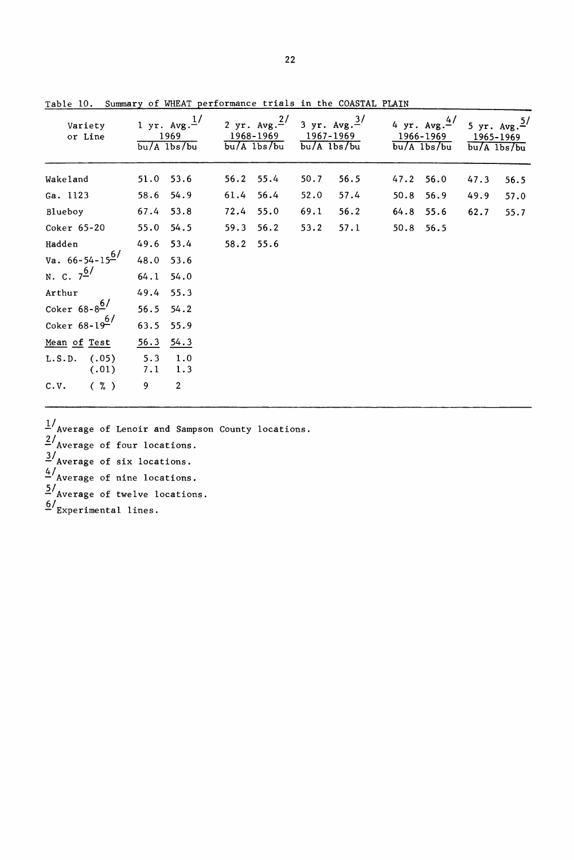| Variety<br>or Line       | 1 yr. $Avg.^{1/}$<br>1969<br>$bu/A$ $1bs/bu$ |      | 2 yr. $Avg.^{2/}$<br>1968-1969<br>$bu/A$ $1bs/bu$ | 1967-1969<br>$bu/A$ $1bs/bu$ | 3 yr. $Avg.^{3/}$ |      | 4 yr. $Avg.4$<br>1966-1969<br>$bu/A$ $1bs/bu$ | 5 yr. $Avg. \frac{5}{ }$<br>1965-1969<br>$bu/A$ $1bs/bu$ |      |
|--------------------------|----------------------------------------------|------|---------------------------------------------------|------------------------------|-------------------|------|-----------------------------------------------|----------------------------------------------------------|------|
| Wakeland                 | 53.6<br>51.0                                 |      | 56.2 55.4                                         | 50.7                         | 56.5              | 47.2 | 56.0                                          | 47.3                                                     | 56.5 |
| Ga. 1123                 | 54.9<br>58.6                                 | 61.4 | 56.4                                              | 52.0                         | 57.4              | 50.8 | 56.9                                          | 49.9                                                     | 57.0 |
| Blueboy                  | 67.4<br>53.8                                 | 72.4 | 55.0                                              | 69.1                         | 56.2              | 64.8 | 55.6                                          | 62.7                                                     | 55.7 |
| Coker 65-20              | 55.0<br>54.5                                 | 59.3 | 56.2                                              | 53.2                         | 57.1              | 50.8 | 56.5                                          |                                                          |      |
| Hadden                   | 49.6 53.4                                    | 58.2 | 55.6                                              |                              |                   |      |                                               |                                                          |      |
| Va. $66 - 54 - 15^{6}$   | 48.0<br>53.6                                 |      |                                                   |                              |                   |      |                                               |                                                          |      |
| N. C. $7^{6/}$           | 64.1<br>54.0                                 |      |                                                   |                              |                   |      |                                               |                                                          |      |
| Arthur                   | 49.4<br>55.3                                 |      |                                                   |                              |                   |      |                                               |                                                          |      |
| Coker $68 - 8^6$         | 56.5<br>54.2                                 |      |                                                   |                              |                   |      |                                               |                                                          |      |
| Coker $68-19^{6/}$       | 63.5<br>55.9                                 |      |                                                   |                              |                   |      |                                               |                                                          |      |
| Mean of Test             | 56.3<br>54.3                                 |      |                                                   |                              |                   |      |                                               |                                                          |      |
| (.05)<br>L.S.D.<br>(.01) | 5.3<br>1.0<br>7.1<br>1.3                     |      |                                                   |                              |                   |      |                                               |                                                          |      |
| $(\% )$<br>C.V.          | $\overline{2}$<br>9                          |      |                                                   |                              |                   |      |                                               |                                                          |      |

Table 10. Summary of WHEAT performance trials in the COASTAL PLAIN

*l/Average* of Lenoir and Sampson County locations.  $\frac{2}{\text{Average of four locations}}$ . *llAverage* of six locations. ~/Average of nine locations. *21Average* of twelve locations.  $\frac{6}{\text{Experiments}}$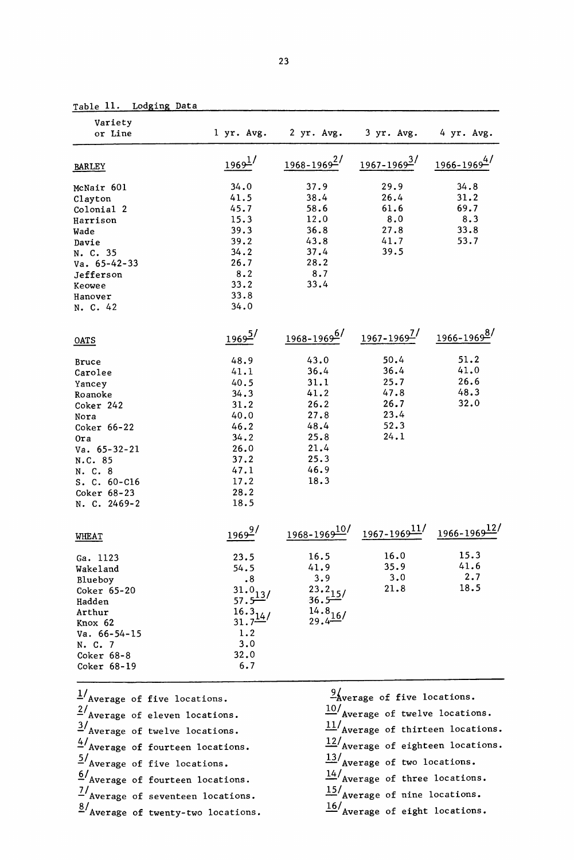| Table 11. |  |  | Lodging Data |  |  |
|-----------|--|--|--------------|--|--|
|           |  |  |              |  |  |

| Variety<br>or Line     |                                     | l yr. Avg. 2 yr. Avg. 3 yr. Avg. |                                                                                  | 4 yr. Avg.              |
|------------------------|-------------------------------------|----------------------------------|----------------------------------------------------------------------------------|-------------------------|
| <b>BARLEY</b>          | $1969^{\frac{1}{2}}$                | $1968 - 1969^2$                  | $1967 - 1969^2$                                                                  | $\frac{1966-1969}{4}$   |
| McNair 601             | 34.0                                | 37.9                             | 29.9                                                                             | 34.8                    |
| Clayton                | 41.5                                | 38.4                             | 26.4                                                                             | 31.2                    |
| Colonial 2             | 45.7                                | 58.6                             | 61.6                                                                             | 69.7                    |
| Harrison               | 15.3                                | 12.0                             | 8.0                                                                              | 8.3                     |
| Wade                   | 39.3                                | 36.8                             | 27.8                                                                             | 33.8                    |
| Davie                  | 39.2                                | 43.8                             | 41.7                                                                             | 53.7                    |
| N. C. 35               | 34.2                                | 37.4                             | 39.5                                                                             |                         |
| $Va. 65-42-33$         | 26.7                                | 28.2                             |                                                                                  |                         |
| Jefferson              | 8.2                                 | 8.7                              |                                                                                  |                         |
| Keowee                 | 33.2                                | 33.4                             |                                                                                  |                         |
| Hanover                | 33.8                                |                                  |                                                                                  |                         |
| N. C. 42               | 34.0                                |                                  |                                                                                  |                         |
| OATS                   | $1969^{5/}$                         | $1968 - 19696$                   | $1967 - 1969^2$                                                                  | / <sup>1966-19698</sup> |
|                        |                                     | 43.0                             | 50.4                                                                             | 51.2                    |
| Bruce                  | 48.9<br>41.1                        | 36.4                             | 36.4                                                                             | 41.0                    |
| Carolee                | 40.5                                | 31.1                             | 25.7                                                                             | 26.6                    |
| Yancey                 |                                     | 41.2                             | 47.8                                                                             | 48.3                    |
| Roanoke                | 34.3<br>31.2                        | 26.2                             | 26.7                                                                             | 32.0                    |
| Coker 242              |                                     | 27.8                             | 23.4                                                                             |                         |
| Nora                   | 40.0                                | 48.4                             | 52.3                                                                             |                         |
| Coker 66-22            | 46.2                                |                                  | 24.1                                                                             |                         |
| 0ra                    | 34.2                                | 25.8<br>21.4                     |                                                                                  |                         |
| $Va. 65-32-21$         | 26.0                                |                                  |                                                                                  |                         |
| N.C. 85                | 37.2                                | 25.3<br>46.9                     |                                                                                  |                         |
| N. C. 8                | 47.1                                |                                  |                                                                                  |                         |
| $S. C. 60-C16$         | 17.2                                | 18.3                             |                                                                                  |                         |
| Coker 68-23            | 28.2                                |                                  |                                                                                  |                         |
| N. C. 2469-2           | 18.5                                |                                  |                                                                                  |                         |
| WHEAT                  | $1969^{9}$                          |                                  | $1968 - 1969 \frac{10}{1}$ $1967 - 1969 \frac{11}{1}$ $1966 - 1969 \frac{12}{1}$ |                         |
| Ga. 1123               | 23.5                                | 16.5                             | 16.0                                                                             | 15.3                    |
| Wakeland               | 54.5                                | 41.9                             | 35.9                                                                             | 41.6                    |
|                        | .8                                  | 3.9                              | 3.0                                                                              | 2.7                     |
| Blueboy<br>Coker 65-20 |                                     |                                  | 21.8                                                                             | 18.5                    |
| Hadden                 | $\frac{31.0}{57.5}$ <sup>13</sup> / | $\frac{23.2}{36.5}$              |                                                                                  |                         |
| Arthur                 |                                     |                                  |                                                                                  |                         |
| Knox 62                | $\frac{16.3}{31.7}$ <sup>14</sup> / | $\frac{14.8}{29.4}$ 16/          |                                                                                  |                         |
| $Va. 66-54-15$         | 1.2                                 |                                  |                                                                                  |                         |
| N. C. 7                | 3.0                                 |                                  |                                                                                  |                         |
| Coker 68-8             | 32.0                                |                                  |                                                                                  |                         |
| Coker 68-19            | 6.7                                 |                                  |                                                                                  |                         |
| 1/L                    |                                     | 91                               |                                                                                  |                         |

| $1/\text{\textsc{Average of five locations.}}$ | $\frac{9}{2}$ werage of five locations.             |
|------------------------------------------------|-----------------------------------------------------|
| $2/$ Average of eleven locations.              | $\frac{10}{\text{Average of twelve locations.}}$    |
| $\frac{3}{4}$ Average of twelve locations.     | $\frac{11}{\text{Average of thirteen locations}}$ . |
| $4/$ Average of fourteen locations.            | $12/$ Average of eighteen locations.                |
| $\frac{5}{4}$ Average of five locations.       | $\frac{13}{\text{Average of two locations.}}$       |
| $6/$ Average of fourteen locations.            | $\frac{14}{\text{Average of three locations.}}$     |
| $\frac{7}{4}$ Average of seventeen locations.  | $\frac{15}{\text{Average of nine locations.}}$      |
| $\frac{8}{4}$ Average of twenty-two locations. | $\frac{16}{\text{Average of eight locations.}}$     |
|                                                |                                                     |